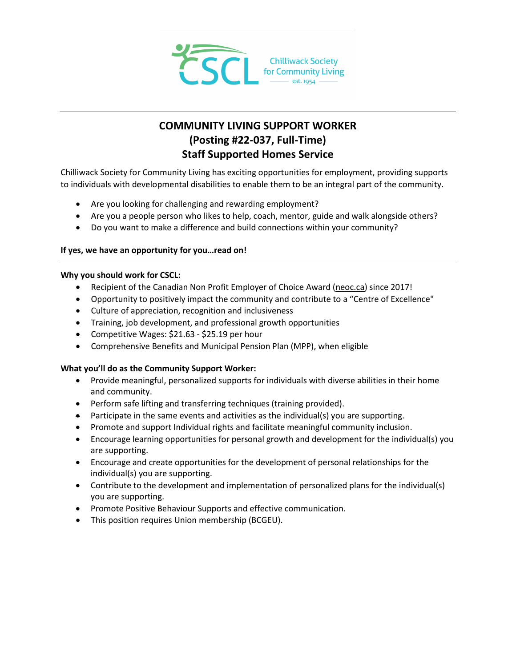

# **COMMUNITY LIVING SUPPORT WORKER (Posting #22-037, Full-Time) Staff Supported Homes Service**

Chilliwack Society for Community Living has exciting opportunities for employment, providing supports to individuals with developmental disabilities to enable them to be an integral part of the community.

- Are you looking for challenging and rewarding employment?
- Are you a people person who likes to help, coach, mentor, guide and walk alongside others?
- Do you want to make a difference and build connections within your community?

# **If yes, we have an opportunity for you…read on!**

# **Why you should work for CSCL:**

- Recipient of the Canadian Non Profit Employer of Choice Award [\(neoc.ca\)](http://neoc.ca/) since 2017!
- Opportunity to positively impact the community and contribute to a "Centre of Excellence"
- Culture of appreciation, recognition and inclusiveness
- Training, job development, and professional growth opportunities
- Competitive Wages: \$21.63 \$25.19 per hour
- Comprehensive Benefits and Municipal Pension Plan (MPP), when eligible

# **What you'll do as the Community Support Worker:**

- Provide meaningful, personalized supports for individuals with diverse abilities in their home and community.
- Perform safe lifting and transferring techniques (training provided).
- Participate in the same events and activities as the individual(s) you are supporting.
- Promote and support Individual rights and facilitate meaningful community inclusion.
- Encourage learning opportunities for personal growth and development for the individual(s) you are supporting.
- Encourage and create opportunities for the development of personal relationships for the individual(s) you are supporting.
- Contribute to the development and implementation of personalized plans for the individual(s) you are supporting.
- Promote Positive Behaviour Supports and effective communication.
- This position requires Union membership (BCGEU).